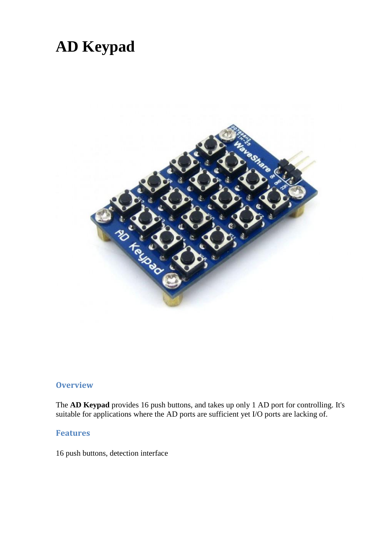# **AD Keypad**



## **Overview**

The **AD Keypad** provides 16 push buttons, and takes up only 1 AD port for controlling. It's suitable for applications where the AD ports are sufficient yet I/O ports are lacking of.

#### **Features**

16 push buttons, detection interface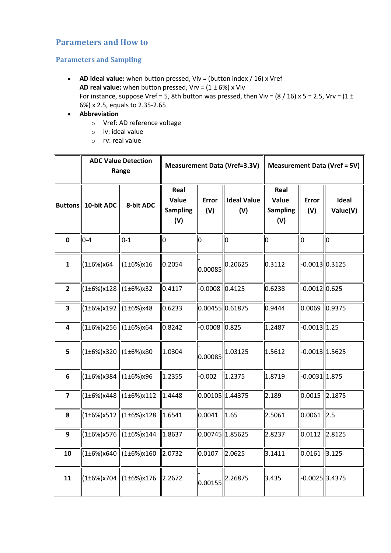## **Parameters and How to**

### **Parameters and Sampling**

- **AD ideal value:** when button pressed, Viv = (button index / 16) x Vref **AD real value:** when button pressed,  $Vrv = (1 \pm 6\%)$  x Viv For instance, suppose Vref = 5, 8th button was pressed, then Viv =  $(8 / 16)$  x 5 = 2.5, Vrv =  $(1 \pm 1)$ 6%) x 2.5, equals to 2.35-2.65
- **Abbreviation**
	- o Vref: AD reference voltage
	- o iv: ideal value
	- o rv: real value

|                | <b>ADC Value Detection</b><br>Range     |                  | <b>Measurement Data (Vref=3.3V)</b>     |                     |                           | <b>Measurement Data (Vref = 5V)</b>     |                     |                   |
|----------------|-----------------------------------------|------------------|-----------------------------------------|---------------------|---------------------------|-----------------------------------------|---------------------|-------------------|
| <b>Buttons</b> | 10-bit ADC                              | 8-bit ADC        | Real<br>Value<br><b>Sampling</b><br>(V) | <b>Error</b><br>(V) | <b>Ideal Value</b><br>(V) | Real<br>Value<br><b>Sampling</b><br>(V) | <b>Error</b><br>(V) | Ideal<br>Value(V) |
| $\mathbf 0$    | $0 - 4$                                 | $0 - 1$          | 0                                       | O                   | O                         | 0                                       | $\overline{0}$      | $\overline{0}$    |
| $\mathbf{1}$   | (1±6%)x64                               | (1±6%)x16        | 0.2054                                  | 0.00085             | 0.20625                   | 0.3112                                  | $-0.0013$ 0.3125    |                   |
| $\overline{2}$ | $(1\pm6\%)$ x128                        | $(1\pm6\%)$ x32  | 0.4117                                  | $-0.0008$ 0.4125    |                           | 0.6238                                  | $-0.0012$ 0.625     |                   |
| 3              | $(1\pm6\%)$ x192 $ (1\pm6\%)$ x48       |                  | 0.6233                                  | $0.00455$ 0.61875   |                           | 0.9444                                  | 0.0069              | 0.9375            |
| 4              | $(1\pm6\%)$ x256 $ (1\pm6\%)$ x64       |                  | 0.8242                                  | 0.0008 0.825        |                           | 1.2487                                  | $-0.0013$ 1.25      |                   |
| 5              | $(1\pm6\%)$ x320 $ (1\pm6\%)$ x80       |                  | 1.0304                                  | 0.00085             | 1.03125                   | 1.5612                                  | $-0.0013$   1.5625  |                   |
| 6              | (1±6%)x384                              | (1±6%)x96        | 1.2355                                  | $-0.002$            | 1.2375                    | 1.8719                                  | $-0.0031$   1.875   |                   |
| $\overline{7}$ | (1±6%)x448                              | $(1\pm6\%)$ x112 | 1.4448                                  | 0.00105 1.44375     |                           | 2.189                                   | $0.0015$ 2.1875     |                   |
| 8              | $(1\pm 6\%)$ x512                       | (1±6%)x128       | 1.6541                                  | 0.0041              | 1.65                      | 2.5061                                  | $0.0061$ 2.5        |                   |
| 9              | $(1\pm6\%)$ x576                        | (1±6%)x144       | 1.8637                                  | 0.00745 1.85625     |                           | 2.8237                                  | $0.0112$ 2.8125     |                   |
| 10             | (1±6%)x640                              | (1±6%)x160       | 2.0732                                  | 0.0107              | 2.0625                    | 3.1411                                  | 0.0161              | 3.125             |
| 11             | $(1\pm6\%)$ x704 $\ $ (1 $\pm6\%$ )x176 |                  | 2.2672                                  | 0.00155             | 2.26875                   | 3.435                                   | $-0.0025$  3.4375   |                   |